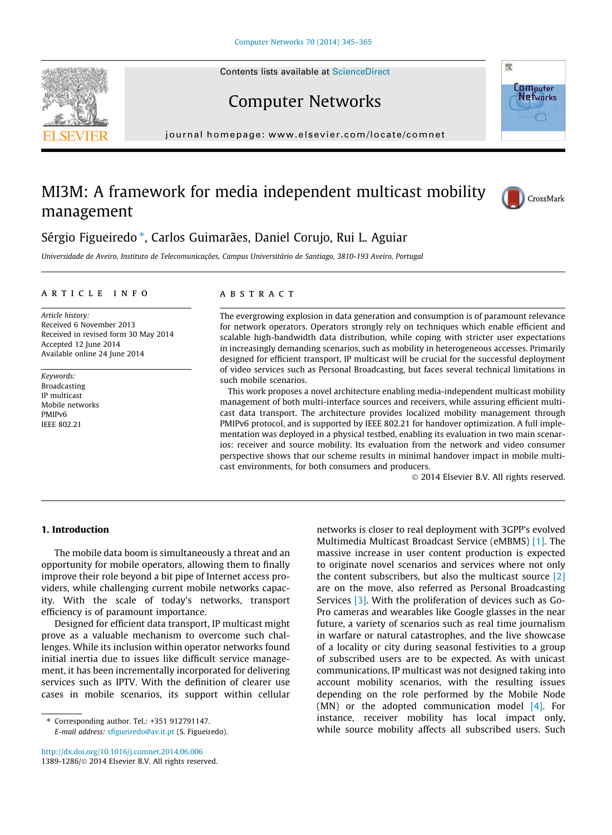Contents lists available at [ScienceDirect](http://www.sciencedirect.com/science/journal/13891286)







journal homepage: [www.elsevier.com/locate/comnet](http://www.elsevier.com/locate/comnet)

## MI3M: A framework for media independent multicast mobility management



### Sérgio Figueiredo \*, Carlos Guimarães, Daniel Corujo, Rui L. Aguiar

Universidade de Aveiro, Instituto de Telecomunicações, Campus Universitário de Santiago, 3810-193 Aveiro, Portugal

#### article info

Article history: Received 6 November 2013 Received in revised form 30 May 2014 Accepted 12 June 2014 Available online 24 June 2014

Keywords: Broadcasting IP multicast Mobile networks PMIPv6 IEEE 802.21

#### **ARSTRACT**

The evergrowing explosion in data generation and consumption is of paramount relevance for network operators. Operators strongly rely on techniques which enable efficient and scalable high-bandwidth data distribution, while coping with stricter user expectations in increasingly demanding scenarios, such as mobility in heterogeneous accesses. Primarily designed for efficient transport, IP multicast will be crucial for the successful deployment of video services such as Personal Broadcasting, but faces several technical limitations in such mobile scenarios.

This work proposes a novel architecture enabling media-independent multicast mobility management of both multi-interface sources and receivers, while assuring efficient multicast data transport. The architecture provides localized mobility management through PMIPv6 protocol, and is supported by IEEE 802.21 for handover optimization. A full implementation was deployed in a physical testbed, enabling its evaluation in two main scenarios: receiver and source mobility. Its evaluation from the network and video consumer perspective shows that our scheme results in minimal handover impact in mobile multicast environments, for both consumers and producers.

- 2014 Elsevier B.V. All rights reserved.

#### 1. Introduction

The mobile data boom is simultaneously a threat and an opportunity for mobile operators, allowing them to finally improve their role beyond a bit pipe of Internet access providers, while challenging current mobile networks capacity. With the scale of today's networks, transport efficiency is of paramount importance.

Designed for efficient data transport, IP multicast might prove as a valuable mechanism to overcome such challenges. While its inclusion within operator networks found initial inertia due to issues like difficult service management, it has been incrementally incorporated for delivering services such as IPTV. With the definition of clearer use cases in mobile scenarios, its support within cellular

⇑ Corresponding author. Tel.: +351 912791147. E-mail address: [sfigueiredo@av.it.pt](mailto:sfigueiredo@av.it.pt) (S. Figueiredo).

<http://dx.doi.org/10.1016/j.comnet.2014.06.006> 1389-1286/© 2014 Elsevier B.V. All rights reserved.

networks is closer to real deployment with 3GPP's evolved Multimedia Multicast Broadcast Service (eMBMS) [\[1\].](#page--1-0) The massive increase in user content production is expected to originate novel scenarios and services where not only the content subscribers, but also the multicast source [\[2\]](#page--1-0) are on the move, also referred as Personal Broadcasting Services [\[3\].](#page--1-0) With the proliferation of devices such as Go-Pro cameras and wearables like Google glasses in the near future, a variety of scenarios such as real time journalism in warfare or natural catastrophes, and the live showcase of a locality or city during seasonal festivities to a group of subscribed users are to be expected. As with unicast communications, IP multicast was not designed taking into account mobility scenarios, with the resulting issues depending on the role performed by the Mobile Node (MN) or the adopted communication model  $[4]$ . For instance, receiver mobility has local impact only, while source mobility affects all subscribed users. Such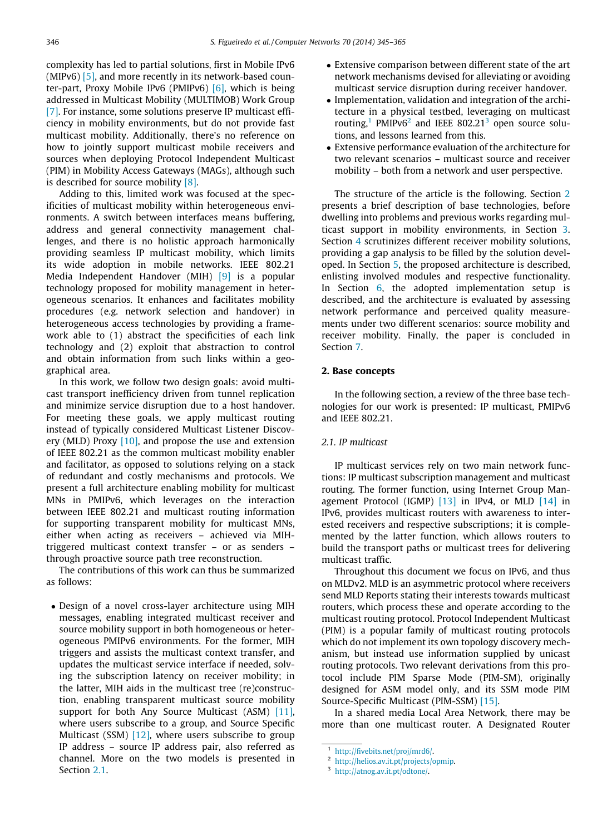complexity has led to partial solutions, first in Mobile IPv6 (MIPv6) [\[5\]](#page--1-0), and more recently in its network-based counter-part, Proxy Mobile IPv6 (PMIPv6) [\[6\],](#page--1-0) which is being addressed in Multicast Mobility (MULTIMOB) Work Group [\[7\].](#page--1-0) For instance, some solutions preserve IP multicast efficiency in mobility environments, but do not provide fast multicast mobility. Additionally, there's no reference on how to jointly support multicast mobile receivers and sources when deploying Protocol Independent Multicast (PIM) in Mobility Access Gateways (MAGs), although such is described for source mobility  $[8]$ .

Adding to this, limited work was focused at the specificities of multicast mobility within heterogeneous environments. A switch between interfaces means buffering, address and general connectivity management challenges, and there is no holistic approach harmonically providing seamless IP multicast mobility, which limits its wide adoption in mobile networks. IEEE 802.21 Media Independent Handover (MIH) [\[9\]](#page--1-0) is a popular technology proposed for mobility management in heterogeneous scenarios. It enhances and facilitates mobility procedures (e.g. network selection and handover) in heterogeneous access technologies by providing a framework able to (1) abstract the specificities of each link technology and (2) exploit that abstraction to control and obtain information from such links within a geographical area.

In this work, we follow two design goals: avoid multicast transport inefficiency driven from tunnel replication and minimize service disruption due to a host handover. For meeting these goals, we apply multicast routing instead of typically considered Multicast Listener Discov-ery (MLD) Proxy [\[10\],](#page--1-0) and propose the use and extension of IEEE 802.21 as the common multicast mobility enabler and facilitator, as opposed to solutions relying on a stack of redundant and costly mechanisms and protocols. We present a full architecture enabling mobility for multicast MNs in PMIPv6, which leverages on the interaction between IEEE 802.21 and multicast routing information for supporting transparent mobility for multicast MNs, either when acting as receivers – achieved via MIHtriggered multicast context transfer – or as senders – through proactive source path tree reconstruction.

The contributions of this work can thus be summarized as follows:

- Design of a novel cross-layer architecture using MIH messages, enabling integrated multicast receiver and source mobility support in both homogeneous or heterogeneous PMIPv6 environments. For the former, MIH triggers and assists the multicast context transfer, and updates the multicast service interface if needed, solving the subscription latency on receiver mobility; in the latter, MIH aids in the multicast tree (re)construction, enabling transparent multicast source mobility support for both Any Source Multicast (ASM) [\[11\]](#page--1-0), where users subscribe to a group, and Source Specific Multicast (SSM) [\[12\]](#page--1-0), where users subscribe to group IP address – source IP address pair, also referred as channel. More on the two models is presented in Section 2.1

- Extensive comparison between different state of the art network mechanisms devised for alleviating or avoiding multicast service disruption during receiver handover.
- Implementation, validation and integration of the architecture in a physical testbed, leveraging on multicast routing,<sup>1</sup> PMIPv6<sup>2</sup> and IEEE 802.21<sup>3</sup> open source solutions, and lessons learned from this.
- Extensive performance evaluation of the architecture for two relevant scenarios – multicast source and receiver mobility – both from a network and user perspective.

The structure of the article is the following. Section 2 presents a brief description of base technologies, before dwelling into problems and previous works regarding multicast support in mobility environments, in Section [3](#page--1-0). Section [4](#page--1-0) scrutinizes different receiver mobility solutions, providing a gap analysis to be filled by the solution developed. In Section [5,](#page--1-0) the proposed architecture is described, enlisting involved modules and respective functionality. In Section [6,](#page--1-0) the adopted implementation setup is described, and the architecture is evaluated by assessing network performance and perceived quality measurements under two different scenarios: source mobility and receiver mobility. Finally, the paper is concluded in Section [7](#page--1-0).

#### 2. Base concepts

In the following section, a review of the three base technologies for our work is presented: IP multicast, PMIPv6 and IEEE 802.21.

#### 2.1. IP multicast

IP multicast services rely on two main network functions: IP multicast subscription management and multicast routing. The former function, using Internet Group Man-agement Protocol (IGMP) [\[13\]](#page--1-0) in IPv4, or MLD [\[14\]](#page--1-0) in IPv6, provides multicast routers with awareness to interested receivers and respective subscriptions; it is complemented by the latter function, which allows routers to build the transport paths or multicast trees for delivering multicast traffic.

Throughout this document we focus on IPv6, and thus on MLDv2. MLD is an asymmetric protocol where receivers send MLD Reports stating their interests towards multicast routers, which process these and operate according to the multicast routing protocol. Protocol Independent Multicast (PIM) is a popular family of multicast routing protocols which do not implement its own topology discovery mechanism, but instead use information supplied by unicast routing protocols. Two relevant derivations from this protocol include PIM Sparse Mode (PIM-SM), originally designed for ASM model only, and its SSM mode PIM Source-Specific Multicast (PIM-SSM) [\[15\].](#page--1-0)

In a shared media Local Area Network, there may be more than one multicast router. A Designated Router

<sup>1</sup> [http://fivebits.net/proj/mrd6/.](http://fivebits.net/proj/mrd6/)

<sup>2</sup> [http://helios.av.it.pt/projects/opmip.](http://helios.av.it.pt/projects/opmip)

<sup>3</sup> [http://atnog.av.it.pt/odtone/.](http://atnog.av.it.pt/odtone/)